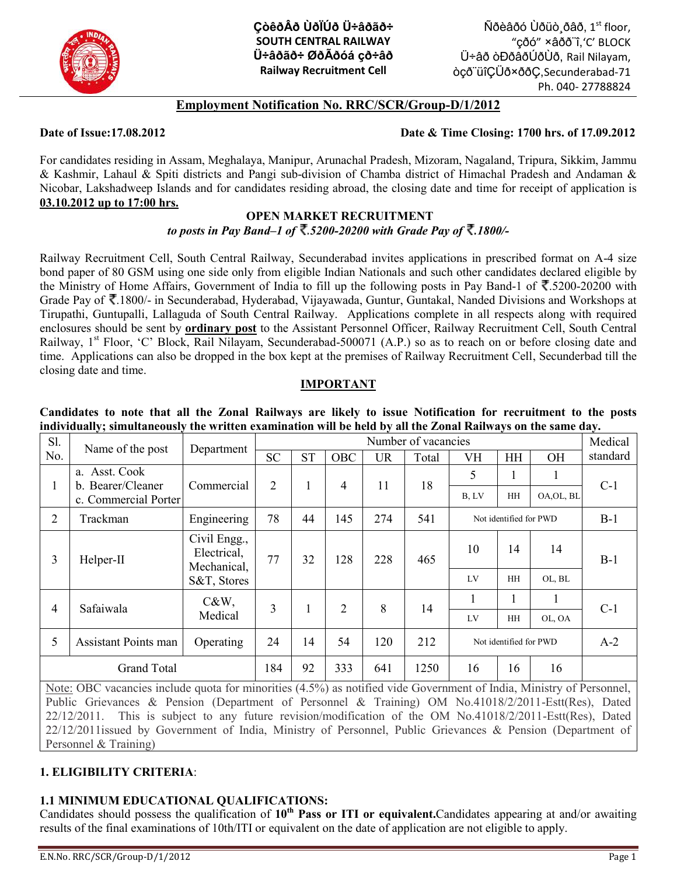

**ÇòêðÂð ÙðÏÚð Ü÷âðãð÷ SOUTH CENTRAL RAILWAY Ü÷âðãð÷ ØðÃðóá çð÷âð Railway Recruitment Cell**

 $\tilde{\bm{\mathsf{N}}}$ ðèâðó Ùðüò¸ðâð, 1 $^{\mathrm{st}}$  floor, "çðó" ×âðð¨î,'C' BLOCK Ü÷âð òÐðâðÚðÙð, Rail Nilayam, òçð¨üîÇÜð×ððÇ,Secunderabad-71 Ph. 040- 27788824

# **Employment Notification No. RRC/SCR/Group-D/1/2012**

**Date of Issue:17.08.2012 Date & Time Closing: 1700 hrs. of 17.09.2012**

For candidates residing in Assam, Meghalaya, Manipur, Arunachal Pradesh, Mizoram, Nagaland, Tripura, Sikkim, Jammu & Kashmir, Lahaul & Spiti districts and Pangi sub-division of Chamba district of Himachal Pradesh and Andaman & Nicobar, Lakshadweep Islands and for candidates residing abroad, the closing date and time for receipt of application is **03.10.2012 up to 17:00 hrs.**

## **OPEN MARKET RECRUITMENT** *to posts in Pay Band–1 of ₹.5200-20200 with Grade Pay of ₹.1800/-*

Railway Recruitment Cell, South Central Railway, Secunderabad invites applications in prescribed format on A-4 size bond paper of 80 GSM using one side only from eligible Indian Nationals and such other candidates declared eligible by the Ministry of Home Affairs, Government of India to fill up the following posts in Pay Band-1 of  $\overline{\mathbf{t}}$ .5200-20200 with Grade Pay of  $\overline{\mathcal{F}}$ .1800/- in Secunderabad, Hyderabad, Vijayawada, Guntur, Guntakal, Nanded Divisions and Workshops at Tirupathi, Guntupalli, Lallaguda of South Central Railway. Applications complete in all respects along with required enclosures should be sent by **ordinary post** to the Assistant Personnel Officer, Railway Recruitment Cell, South Central Railway, 1<sup>st</sup> Floor, 'C' Block, Rail Nilayam, Secunderabad-500071 (A.P.) so as to reach on or before closing date and time. Applications can also be dropped in the box kept at the premises of Railway Recruitment Cell, Secunderbad till the closing date and time.

## **IMPORTANT**

|  |  |  |  |  |  | Candidates to note that all the Zonal Railways are likely to issue Notification for recruitment to the posts |  |  |
|--|--|--|--|--|--|--------------------------------------------------------------------------------------------------------------|--|--|
|  |  |  |  |  |  | individually; simultaneously the written examination will be held by all the Zonal Railways on the same day. |  |  |

| Sl.<br>Name of the post                                                                                              |                                           | Department                                                | Number of vacancies |           |                |           |       |                        |           |            |          |  |
|----------------------------------------------------------------------------------------------------------------------|-------------------------------------------|-----------------------------------------------------------|---------------------|-----------|----------------|-----------|-------|------------------------|-----------|------------|----------|--|
| No.                                                                                                                  |                                           |                                                           | <b>SC</b>           | <b>ST</b> | OBC            | <b>UR</b> | Total | VH                     | HH        | <b>OH</b>  | standard |  |
|                                                                                                                      | a. Asst. Cook                             |                                                           | $\overline{2}$      | 1         | $\overline{4}$ | 11        | 18    | 5                      |           |            | $C-1$    |  |
| Т.                                                                                                                   | b. Bearer/Cleaner<br>c. Commercial Porter | Commercial                                                |                     |           |                |           |       | B, LV                  | HH        | OA, OL, BL |          |  |
| $\overline{2}$                                                                                                       | Trackman                                  | Engineering                                               | 78                  | 44        | 145            | 274       | 541   | Not identified for PWD |           |            | $B-1$    |  |
| $\overline{3}$                                                                                                       | Helper-II                                 | Civil Engg.,<br>Electrical,<br>Mechanical,<br>S&T, Stores | 77                  | 32        | 128            | 228       | 465   | 10                     | 14        | 14         | $B-1$    |  |
|                                                                                                                      |                                           |                                                           |                     |           |                |           |       | LV                     | HH        | OL, BL     |          |  |
| 4                                                                                                                    | Safaiwala                                 | $C&W$ ,<br>Medical                                        | $\overline{3}$      |           | $\overline{2}$ | 8         | 14    | 1                      |           | 1          | $C-1$    |  |
|                                                                                                                      |                                           |                                                           |                     |           |                |           |       | LV                     | <b>HH</b> | OL, OA     |          |  |
| 5                                                                                                                    | Assistant Points man<br>Operating         |                                                           |                     | 14        | 54             | 120       | 212   | Not identified for PWD |           |            | $A-2$    |  |
|                                                                                                                      | <b>Grand Total</b>                        | 184                                                       | 92                  | 333       | 641            | 1250      | 16    | 16                     | 16        |            |          |  |
| Note: OBC vacancies include quota for minorities (4.5%) as notified vide Government of India, Ministry of Personnel. |                                           |                                                           |                     |           |                |           |       |                        |           |            |          |  |

Note: OBC vacancies include quota for minorities (4.5%) as notified vide Government of India, Ministry of Personnel, Public Grievances & Pension (Department of Personnel & Training) OM No.41018/2/2011-Estt(Res), Dated 22/12/2011. This is subject to any future revision/modification of the OM No.41018/2/2011-Estt(Res), Dated 22/12/2011issued by Government of India, Ministry of Personnel, Public Grievances & Pension (Department of Personnel & Training)

# **1. ELIGIBILITY CRITERIA**:

# **1.1 MINIMUM EDUCATIONAL QUALIFICATIONS:**

Candidates should possess the qualification of **10th Pass or ITI or equivalent.**Candidates appearing at and/or awaiting results of the final examinations of 10th/ITI or equivalent on the date of application are not eligible to apply.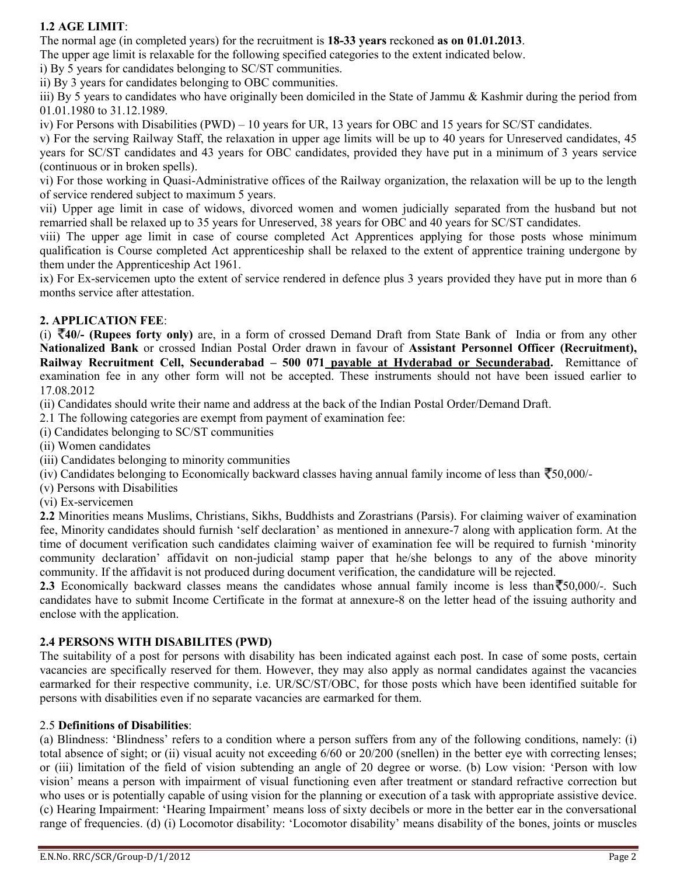# **1.2 AGE LIMIT**:

The normal age (in completed years) for the recruitment is **18-33 years** reckoned **as on 01.01.2013**.

The upper age limit is relaxable for the following specified categories to the extent indicated below.

i) By 5 years for candidates belonging to SC/ST communities.

ii) By 3 years for candidates belonging to OBC communities.

iii) By 5 years to candidates who have originally been domiciled in the State of Jammu & Kashmir during the period from 01.01.1980 to 31.12.1989.

iv) For Persons with Disabilities (PWD) – 10 years for UR, 13 years for OBC and 15 years for SC/ST candidates.

v) For the serving Railway Staff, the relaxation in upper age limits will be up to 40 years for Unreserved candidates, 45 years for SC/ST candidates and 43 years for OBC candidates, provided they have put in a minimum of 3 years service (continuous or in broken spells).

vi) For those working in Quasi-Administrative offices of the Railway organization, the relaxation will be up to the length of service rendered subject to maximum 5 years.

vii) Upper age limit in case of widows, divorced women and women judicially separated from the husband but not remarried shall be relaxed up to 35 years for Unreserved, 38 years for OBC and 40 years for SC/ST candidates.

viii) The upper age limit in case of course completed Act Apprentices applying for those posts whose minimum qualification is Course completed Act apprenticeship shall be relaxed to the extent of apprentice training undergone by them under the Apprenticeship Act 1961.

ix) For Ex-servicemen upto the extent of service rendered in defence plus 3 years provided they have put in more than 6 months service after attestation.

## **2. APPLICATION FEE**:

(i) **40/- (Rupees forty only)** are, in a form of crossed Demand Draft from State Bank of India or from any other **Nationalized Bank** or crossed Indian Postal Order drawn in favour of **Assistant Personnel Officer (Recruitment), Railway Recruitment Cell, Secunderabad – 500 071 payable at Hyderabad or Secunderabad.** Remittance of examination fee in any other form will not be accepted. These instruments should not have been issued earlier to 17.08.2012

(ii) Candidates should write their name and address at the back of the Indian Postal Order/Demand Draft.

2.1 The following categories are exempt from payment of examination fee:

(i) Candidates belonging to SC/ST communities

(ii) Women candidates

- (iii) Candidates belonging to minority communities
- (iv) Candidates belonging to Economically backward classes having annual family income of less than  $\bar{\zeta}$ 50,000/-
- (v) Persons with Disabilities
- (vi) Ex-servicemen

**2.2** Minorities means Muslims, Christians, Sikhs, Buddhists and Zorastrians (Parsis). For claiming waiver of examination fee, Minority candidates should furnish 'self declaration' as mentioned in annexure-7 along with application form. At the time of document verification such candidates claiming waiver of examination fee will be required to furnish 'minority community declaration' affidavit on non-judicial stamp paper that he/she belongs to any of the above minority community. If the affidavit is not produced during document verification, the candidature will be rejected.

**2.3** Economically backward classes means the candidates whose annual family income is less than  $\overline{50,000/}$ . Such candidates have to submit Income Certificate in the format at annexure-8 on the letter head of the issuing authority and enclose with the application.

## **2.4 PERSONS WITH DISABILITES (PWD)**

The suitability of a post for persons with disability has been indicated against each post. In case of some posts, certain vacancies are specifically reserved for them. However, they may also apply as normal candidates against the vacancies earmarked for their respective community, i.e. UR/SC/ST/OBC, for those posts which have been identified suitable for persons with disabilities even if no separate vacancies are earmarked for them.

#### 2.5 **Definitions of Disabilities**:

(a) Blindness: 'Blindness' refers to a condition where a person suffers from any of the following conditions, namely: (i) total absence of sight; or (ii) visual acuity not exceeding 6/60 or 20/200 (snellen) in the better eye with correcting lenses; or (iii) limitation of the field of vision subtending an angle of 20 degree or worse. (b) Low vision: 'Person with low vision' means a person with impairment of visual functioning even after treatment or standard refractive correction but who uses or is potentially capable of using vision for the planning or execution of a task with appropriate assistive device. (c) Hearing Impairment: 'Hearing Impairment' means loss of sixty decibels or more in the better ear in the conversational range of frequencies. (d) (i) Locomotor disability: 'Locomotor disability' means disability of the bones, joints or muscles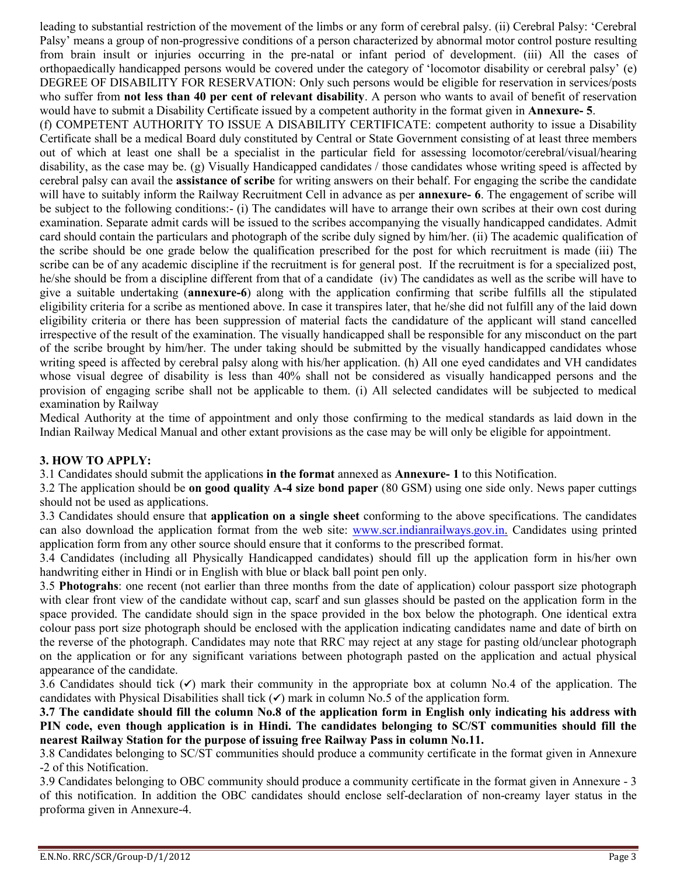leading to substantial restriction of the movement of the limbs or any form of cerebral palsy. (ii) Cerebral Palsy: 'Cerebral Palsy' means a group of non-progressive conditions of a person characterized by abnormal motor control posture resulting from brain insult or injuries occurring in the pre-natal or infant period of development. (iii) All the cases of orthopaedically handicapped persons would be covered under the category of 'locomotor disability or cerebral palsy' (e) DEGREE OF DISABILITY FOR RESERVATION: Only such persons would be eligible for reservation in services/posts who suffer from **not less than 40 per cent of relevant disability**. A person who wants to avail of benefit of reservation would have to submit a Disability Certificate issued by a competent authority in the format given in **Annexure- 5**.

(f) COMPETENT AUTHORITY TO ISSUE A DISABILITY CERTIFICATE: competent authority to issue a Disability Certificate shall be a medical Board duly constituted by Central or State Government consisting of at least three members out of which at least one shall be a specialist in the particular field for assessing locomotor/cerebral/visual/hearing disability, as the case may be. (g) Visually Handicapped candidates / those candidates whose writing speed is affected by cerebral palsy can avail the **assistance of scribe** for writing answers on their behalf. For engaging the scribe the candidate will have to suitably inform the Railway Recruitment Cell in advance as per **annexure- 6**. The engagement of scribe will be subject to the following conditions:- (i) The candidates will have to arrange their own scribes at their own cost during examination. Separate admit cards will be issued to the scribes accompanying the visually handicapped candidates. Admit card should contain the particulars and photograph of the scribe duly signed by him/her. (ii) The academic qualification of the scribe should be one grade below the qualification prescribed for the post for which recruitment is made (iii) The scribe can be of any academic discipline if the recruitment is for general post. If the recruitment is for a specialized post, he/she should be from a discipline different from that of a candidate (iv) The candidates as well as the scribe will have to give a suitable undertaking (**annexure-6**) along with the application confirming that scribe fulfills all the stipulated eligibility criteria for a scribe as mentioned above. In case it transpires later, that he/she did not fulfill any of the laid down eligibility criteria or there has been suppression of material facts the candidature of the applicant will stand cancelled irrespective of the result of the examination. The visually handicapped shall be responsible for any misconduct on the part of the scribe brought by him/her. The under taking should be submitted by the visually handicapped candidates whose writing speed is affected by cerebral palsy along with his/her application. (h) All one eyed candidates and VH candidates whose visual degree of disability is less than 40% shall not be considered as visually handicapped persons and the provision of engaging scribe shall not be applicable to them. (i) All selected candidates will be subjected to medical examination by Railway

Medical Authority at the time of appointment and only those confirming to the medical standards as laid down in the Indian Railway Medical Manual and other extant provisions as the case may be will only be eligible for appointment.

## **3. HOW TO APPLY:**

3.1 Candidates should submit the applications **in the format** annexed as **Annexure- 1** to this Notification.

3.2 The application should be **on good quality A-4 size bond paper** (80 GSM) using one side only. News paper cuttings should not be used as applications.

3.3 Candidates should ensure that **application on a single sheet** conforming to the above specifications. The candidates can also download the application format from the web site: www.scr.indianrailways.gov.in. Candidates using printed application form from any other source should ensure that it conforms to the prescribed format.

3.4 Candidates (including all Physically Handicapped candidates) should fill up the application form in his/her own handwriting either in Hindi or in English with blue or black ball point pen only.

3.5 **Photograhs**: one recent (not earlier than three months from the date of application) colour passport size photograph with clear front view of the candidate without cap, scarf and sun glasses should be pasted on the application form in the space provided. The candidate should sign in the space provided in the box below the photograph. One identical extra colour pass port size photograph should be enclosed with the application indicating candidates name and date of birth on the reverse of the photograph. Candidates may note that RRC may reject at any stage for pasting old/unclear photograph on the application or for any significant variations between photograph pasted on the application and actual physical appearance of the candidate.

3.6 Candidates should tick  $(\checkmark)$  mark their community in the appropriate box at column No.4 of the application. The candidates with Physical Disabilities shall tick  $(\checkmark)$  mark in column No.5 of the application form.

**3.7 The candidate should fill the column No.8 of the application form in English only indicating his address with PIN code, even though application is in Hindi. The candidates belonging to SC/ST communities should fill the nearest Railway Station for the purpose of issuing free Railway Pass in column No.11.**

3.8 Candidates belonging to SC/ST communities should produce a community certificate in the format given in Annexure -2 of this Notification.

3.9 Candidates belonging to OBC community should produce a community certificate in the format given in Annexure - 3 of this notification. In addition the OBC candidates should enclose self-declaration of non-creamy layer status in the proforma given in Annexure-4.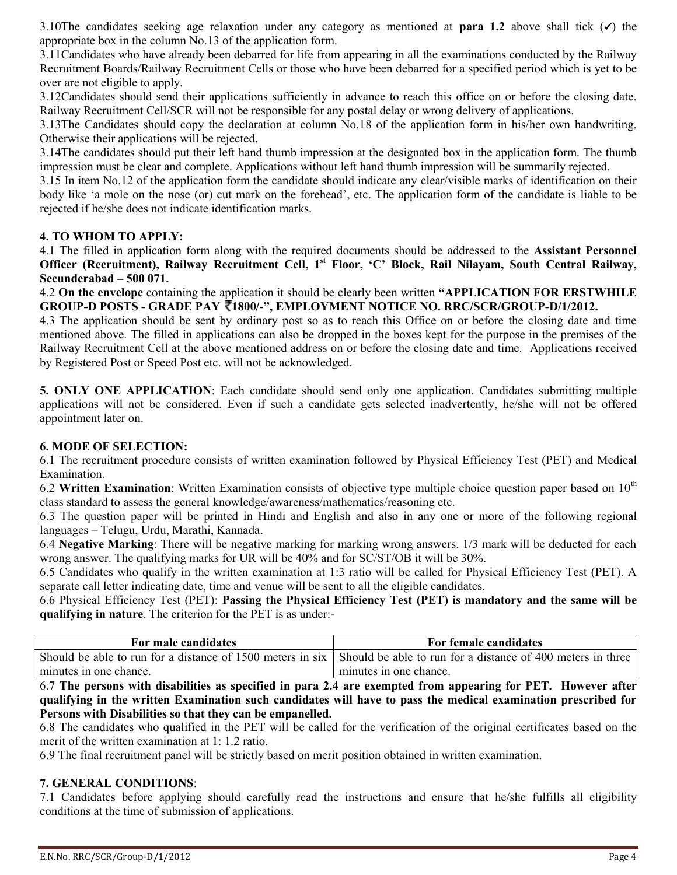3.10The candidates seeking age relaxation under any category as mentioned at **para 1.2** above shall tick  $(\checkmark)$  the appropriate box in the column No.13 of the application form.

3.11Candidates who have already been debarred for life from appearing in all the examinations conducted by the Railway Recruitment Boards/Railway Recruitment Cells or those who have been debarred for a specified period which is yet to be over are not eligible to apply.

3.12Candidates should send their applications sufficiently in advance to reach this office on or before the closing date. Railway Recruitment Cell/SCR will not be responsible for any postal delay or wrong delivery of applications.

3.13The Candidates should copy the declaration at column No.18 of the application form in his/her own handwriting. Otherwise their applications will be rejected.

3.14The candidates should put their left hand thumb impression at the designated box in the application form. The thumb impression must be clear and complete. Applications without left hand thumb impression will be summarily rejected.

3.15 In item No.12 of the application form the candidate should indicate any clear/visible marks of identification on their body like 'a mole on the nose (or) cut mark on the forehead', etc. The application form of the candidate is liable to be rejected if he/she does not indicate identification marks.

## **4. TO WHOM TO APPLY:**

4.1 The filled in application form along with the required documents should be addressed to the **Assistant Personnel Officer (Recruitment), Railway Recruitment Cell, 1 st Floor, 'C' Block, Rail Nilayam, South Central Railway, Secunderabad – 500 071.**

4.2 **On the envelope** containing the application it should be clearly been written **"APPLICATION FOR ERSTWHILE GROUP-D POSTS - GRADE PAY 1800/-", EMPLOYMENT NOTICE NO. RRC/SCR/GROUP-D/1/2012.**

4.3 The application should be sent by ordinary post so as to reach this Office on or before the closing date and time mentioned above. The filled in applications can also be dropped in the boxes kept for the purpose in the premises of the Railway Recruitment Cell at the above mentioned address on or before the closing date and time. Applications received by Registered Post or Speed Post etc. will not be acknowledged.

**5. ONLY ONE APPLICATION**: Each candidate should send only one application. Candidates submitting multiple applications will not be considered. Even if such a candidate gets selected inadvertently, he/she will not be offered appointment later on.

## **6. MODE OF SELECTION:**

6.1 The recruitment procedure consists of written examination followed by Physical Efficiency Test (PET) and Medical Examination.

6.2 **Written Examination**: Written Examination consists of objective type multiple choice question paper based on 10<sup>th</sup> class standard to assess the general knowledge/awareness/mathematics/reasoning etc.

6.3 The question paper will be printed in Hindi and English and also in any one or more of the following regional languages – Telugu, Urdu, Marathi, Kannada.

6.4 **Negative Marking**: There will be negative marking for marking wrong answers. 1/3 mark will be deducted for each wrong answer. The qualifying marks for UR will be 40% and for SC/ST/OB it will be 30%.

6.5 Candidates who qualify in the written examination at 1:3 ratio will be called for Physical Efficiency Test (PET). A separate call letter indicating date, time and venue will be sent to all the eligible candidates.

6.6 Physical Efficiency Test (PET): **Passing the Physical Efficiency Test (PET) is mandatory and the same will be qualifying in nature**. The criterion for the PET is as under:-

| For male candidates    | For female candidates                                                                                                  |
|------------------------|------------------------------------------------------------------------------------------------------------------------|
|                        | Should be able to run for a distance of 1500 meters in six Should be able to run for a distance of 400 meters in three |
| minutes in one chance. | minutes in one chance.                                                                                                 |

6.7 **The persons with disabilities as specified in para 2.4 are exempted from appearing for PET. However after qualifying in the written Examination such candidates will have to pass the medical examination prescribed for Persons with Disabilities so that they can be empanelled.**

6.8 The candidates who qualified in the PET will be called for the verification of the original certificates based on the merit of the written examination at 1: 1.2 ratio.

6.9 The final recruitment panel will be strictly based on merit position obtained in written examination.

## **7. GENERAL CONDITIONS**:

7.1 Candidates before applying should carefully read the instructions and ensure that he/she fulfills all eligibility conditions at the time of submission of applications.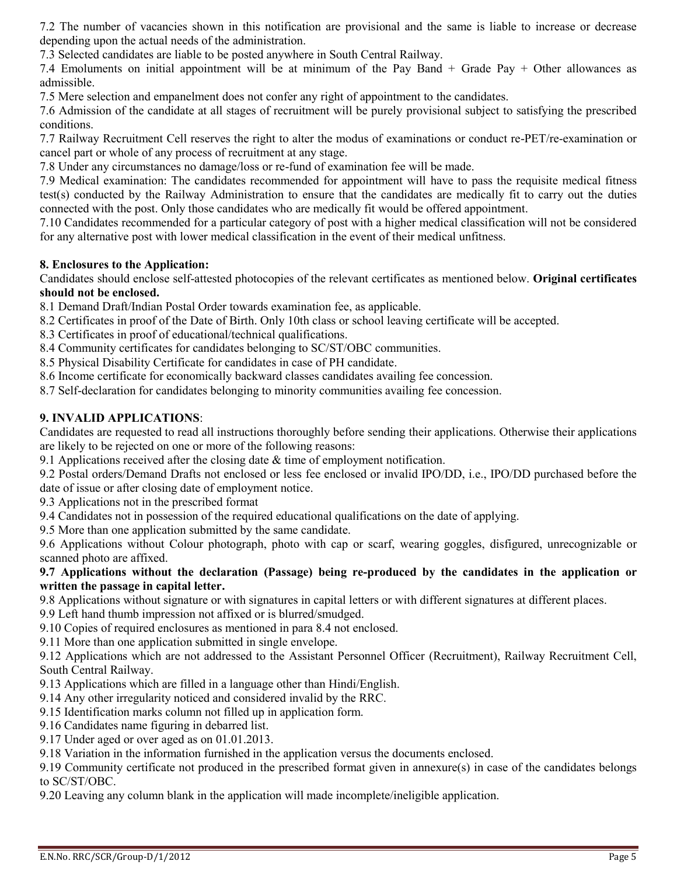7.2 The number of vacancies shown in this notification are provisional and the same is liable to increase or decrease depending upon the actual needs of the administration.

7.3 Selected candidates are liable to be posted anywhere in South Central Railway.

7.4 Emoluments on initial appointment will be at minimum of the Pay Band + Grade Pay + Other allowances as admissible.

7.5 Mere selection and empanelment does not confer any right of appointment to the candidates.

7.6 Admission of the candidate at all stages of recruitment will be purely provisional subject to satisfying the prescribed conditions.

7.7 Railway Recruitment Cell reserves the right to alter the modus of examinations or conduct re-PET/re-examination or cancel part or whole of any process of recruitment at any stage.

7.8 Under any circumstances no damage/loss or re-fund of examination fee will be made.

7.9 Medical examination: The candidates recommended for appointment will have to pass the requisite medical fitness test(s) conducted by the Railway Administration to ensure that the candidates are medically fit to carry out the duties connected with the post. Only those candidates who are medically fit would be offered appointment.

7.10 Candidates recommended for a particular category of post with a higher medical classification will not be considered for any alternative post with lower medical classification in the event of their medical unfitness.

## **8. Enclosures to the Application:**

Candidates should enclose self-attested photocopies of the relevant certificates as mentioned below. **Original certificates should not be enclosed.**

8.1 Demand Draft/Indian Postal Order towards examination fee, as applicable.

- 8.2 Certificates in proof of the Date of Birth. Only 10th class or school leaving certificate will be accepted.
- 8.3 Certificates in proof of educational/technical qualifications.
- 8.4 Community certificates for candidates belonging to SC/ST/OBC communities.
- 8.5 Physical Disability Certificate for candidates in case of PH candidate.
- 8.6 Income certificate for economically backward classes candidates availing fee concession.

8.7 Self-declaration for candidates belonging to minority communities availing fee concession.

## **9. INVALID APPLICATIONS**:

Candidates are requested to read all instructions thoroughly before sending their applications. Otherwise their applications are likely to be rejected on one or more of the following reasons:

9.1 Applications received after the closing date & time of employment notification.

9.2 Postal orders/Demand Drafts not enclosed or less fee enclosed or invalid IPO/DD, i.e., IPO/DD purchased before the date of issue or after closing date of employment notice.

9.3 Applications not in the prescribed format

9.4 Candidates not in possession of the required educational qualifications on the date of applying.

9.5 More than one application submitted by the same candidate.

9.6 Applications without Colour photograph, photo with cap or scarf, wearing goggles, disfigured, unrecognizable or scanned photo are affixed.

### **9.7 Applications without the declaration (Passage) being re-produced by the candidates in the application or written the passage in capital letter.**

9.8 Applications without signature or with signatures in capital letters or with different signatures at different places.

9.9 Left hand thumb impression not affixed or is blurred/smudged.

9.10 Copies of required enclosures as mentioned in para 8.4 not enclosed.

9.11 More than one application submitted in single envelope.

9.12 Applications which are not addressed to the Assistant Personnel Officer (Recruitment), Railway Recruitment Cell, South Central Railway.

9.13 Applications which are filled in a language other than Hindi/English.

9.14 Any other irregularity noticed and considered invalid by the RRC.

9.15 Identification marks column not filled up in application form.

9.16 Candidates name figuring in debarred list.

9.17 Under aged or over aged as on 01.01.2013.

9.18 Variation in the information furnished in the application versus the documents enclosed.

9.19 Community certificate not produced in the prescribed format given in annexure(s) in case of the candidates belongs to SC/ST/OBC.

9.20 Leaving any column blank in the application will made incomplete/ineligible application.